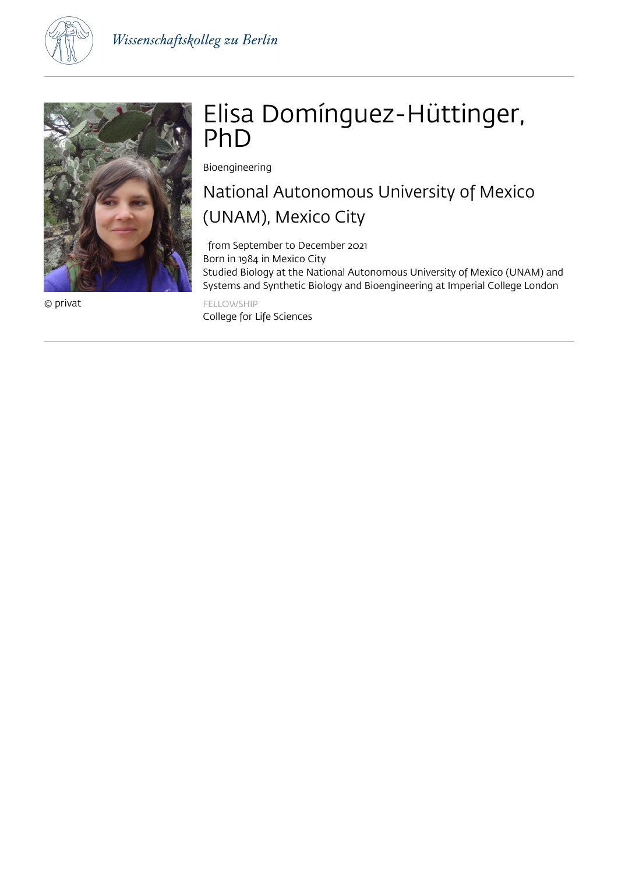



© privat

# Elisa Domínguez-Hüttinger, PhD

Bioengineering

## National Autonomous University of Mexico (UNAM), Mexico City

 from September to December 2021 Born in 1984 in Mexico City Studied Biology at the National Autonomous University of Mexico (UNAM) and Systems and Synthetic Biology and Bioengineering at Imperial College London FELLOWSHIP

College for Life Sciences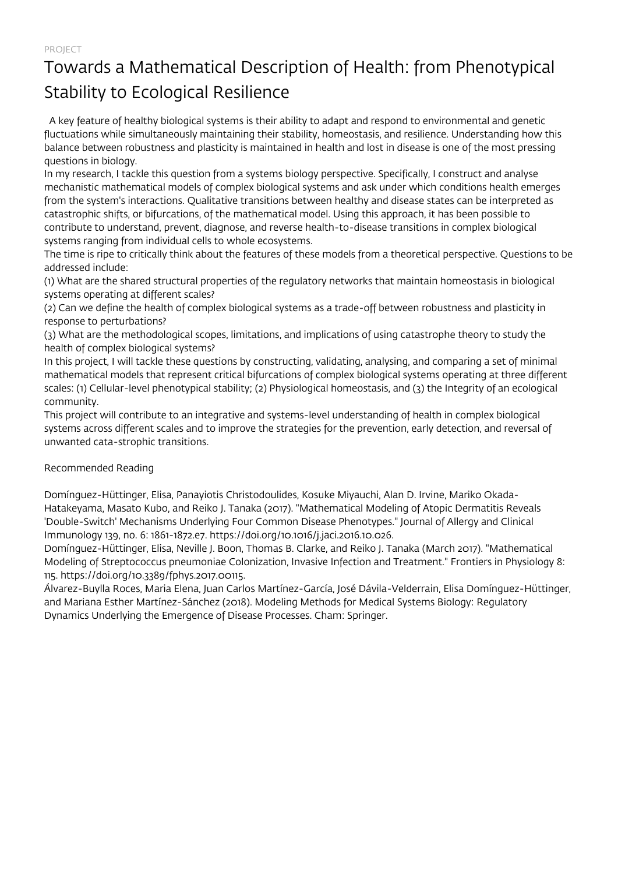## Towards a Mathematical Description of Health: from Phenotypical Stability to Ecological Resilience

 A key feature of healthy biological systems is their ability to adapt and respond to environmental and genetic fluctuations while simultaneously maintaining their stability, homeostasis, and resilience. Understanding how this balance between robustness and plasticity is maintained in health and lost in disease is one of the most pressing questions in biology.

In my research, I tackle this question from a systems biology perspective. Specifically, I construct and analyse mechanistic mathematical models of complex biological systems and ask under which conditions health emerges from the system's interactions. Qualitative transitions between healthy and disease states can be interpreted as catastrophic shifts, or bifurcations, of the mathematical model. Using this approach, it has been possible to contribute to understand, prevent, diagnose, and reverse health-to-disease transitions in complex biological systems ranging from individual cells to whole ecosystems.

The time is ripe to critically think about the features of these models from a theoretical perspective. Questions to be addressed include:

(1) What are the shared structural properties of the regulatory networks that maintain homeostasis in biological systems operating at different scales?

(2) Can we define the health of complex biological systems as a trade-off between robustness and plasticity in response to perturbations?

(3) What are the methodological scopes, limitations, and implications of using catastrophe theory to study the health of complex biological systems?

In this project, I will tackle these questions by constructing, validating, analysing, and comparing a set of minimal mathematical models that represent critical bifurcations of complex biological systems operating at three different scales: (1) Cellular-level phenotypical stability; (2) Physiological homeostasis, and (3) the Integrity of an ecological community.

This project will contribute to an integrative and systems-level understanding of health in complex biological systems across different scales and to improve the strategies for the prevention, early detection, and reversal of unwanted cata-strophic transitions.

#### Recommended Reading

Domínguez-Hüttinger, Elisa, Panayiotis Christodoulides, Kosuke Miyauchi, Alan D. Irvine, Mariko Okada-Hatakeyama, Masato Kubo, and Reiko J. Tanaka (2017). "Mathematical Modeling of Atopic Dermatitis Reveals 'Double-Switch' Mechanisms Underlying Four Common Disease Phenotypes." Journal of Allergy and Clinical Immunology 139, no. 6: 1861-1872.e7. https://doi.org/10.1016/j.jaci.2016.10.026.

Domínguez-Hüttinger, Elisa, Neville J. Boon, Thomas B. Clarke, and Reiko J. Tanaka (March 2017). "Mathematical Modeling of Streptococcus pneumoniae Colonization, Invasive Infection and Treatment." Frontiers in Physiology 8: 115. https://doi.org/10.3389/fphys.2017.00115.

Álvarez-Buylla Roces, Maria Elena, Juan Carlos Martínez-García, José Dávila-Velderrain, Elisa Domínguez-Hüttinger, and Mariana Esther Martínez-Sánchez (2018). Modeling Methods for Medical Systems Biology: Regulatory Dynamics Underlying the Emergence of Disease Processes. Cham: Springer.